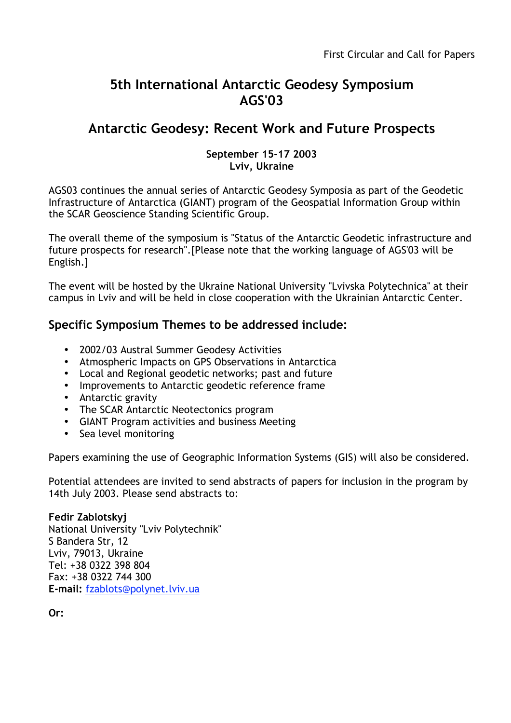# **5th International Antarctic Geodesy Symposium AGS'03**

## **Antarctic Geodesy: Recent Work and Future Prospects**

#### **September 15-17 2003 Lviv, Ukraine**

AGS03 continues the annual series of Antarctic Geodesy Symposia as part of the Geodetic Infrastructure of Antarctica (GIANT) program of the Geospatial Information Group within the SCAR Geoscience Standing Scientific Group.

The overall theme of the symposium is "Status of the Antarctic Geodetic infrastructure and future prospects for research".[Please note that the working language of AGS'03 will be English.]

The event will be hosted by the Ukraine National University "Lvivska Polytechnica" at their campus in Lviv and will be held in close cooperation with the Ukrainian Antarctic Center.

## **Specific Symposium Themes to be addressed include:**

2002/03 Austral Summer Geodesy Activities Atmospheric Impacts on GPS Observations in Antarctica Local and Regional geodetic networks; past and future Improvements to Antarctic geodetic reference frame Antarctic gravity The SCAR Antarctic Neotectonics program GIANT Program activities and business Meeting Sea level monitoring

Papers examining the use of Geographic Information Systems (GIS) will also be considered.

Potential attendees are invited to send abstracts of papers for inclusion in the program by 14th July 2003. Please send abstracts to:

#### **Fedir Zablotskyj**

National University "Lviv Polytechnik" S Bandera Str, 12 Lviv, 79013, Ukraine Tel: +38 0322 398 804 Fax: +38 0322 744 300 **E-mail:** fzablots@polynet.lviv.ua

**Or:**